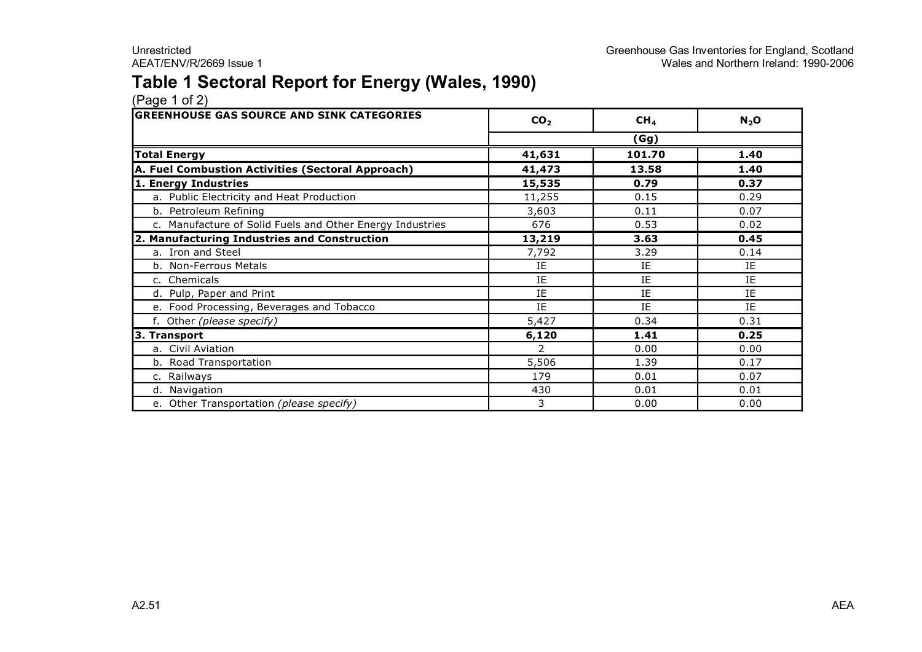## **Table 1 Sectoral Report for Energy (Wales, 1990)**

| <b>GREENHOUSE GAS SOURCE AND SINK CATEGORIES</b>          | CO <sub>2</sub> | CH <sub>4</sub> | $N_2$ O |  |  |  |
|-----------------------------------------------------------|-----------------|-----------------|---------|--|--|--|
|                                                           | (Gg)            |                 |         |  |  |  |
| <b>Total Energy</b>                                       | 41,631          | 101.70          | 1.40    |  |  |  |
| A. Fuel Combustion Activities (Sectoral Approach)         | 41,473          | 13.58           | 1.40    |  |  |  |
| 1. Energy Industries                                      | 15,535          | 0.79            | 0.37    |  |  |  |
| a. Public Electricity and Heat Production                 | 11,255          | 0.15            | 0.29    |  |  |  |
| b. Petroleum Refining                                     | 3,603           | 0.11            | 0.07    |  |  |  |
| c. Manufacture of Solid Fuels and Other Energy Industries | 676             | 0.53            | 0.02    |  |  |  |
| 2. Manufacturing Industries and Construction              | 13,219          | 3.63            | 0.45    |  |  |  |
| a. Iron and Steel                                         | 7,792           | 3.29            | 0.14    |  |  |  |
| b. Non-Ferrous Metals                                     | IE              | IE              | IE      |  |  |  |
| c. Chemicals                                              | IE              | IE.             | IE      |  |  |  |
| d. Pulp, Paper and Print                                  | IE              | IE              | IE      |  |  |  |
| e. Food Processing, Beverages and Tobacco                 | IE              | IE              | IE      |  |  |  |
| f. Other (please specify)                                 | 5,427           | 0.34            | 0.31    |  |  |  |
| 3. Transport                                              | 6,120           | 1.41            | 0.25    |  |  |  |
| a. Civil Aviation                                         | $\mathcal{P}$   | 0.00            | 0.00    |  |  |  |
| b. Road Transportation                                    | 5,506           | 1.39            | 0.17    |  |  |  |
| c. Railways                                               | 179             | 0.01            | 0.07    |  |  |  |
| d. Navigation                                             | 430             | 0.01            | 0.01    |  |  |  |
| e. Other Transportation (please specify)                  | 3               | 0.00            | 0.00    |  |  |  |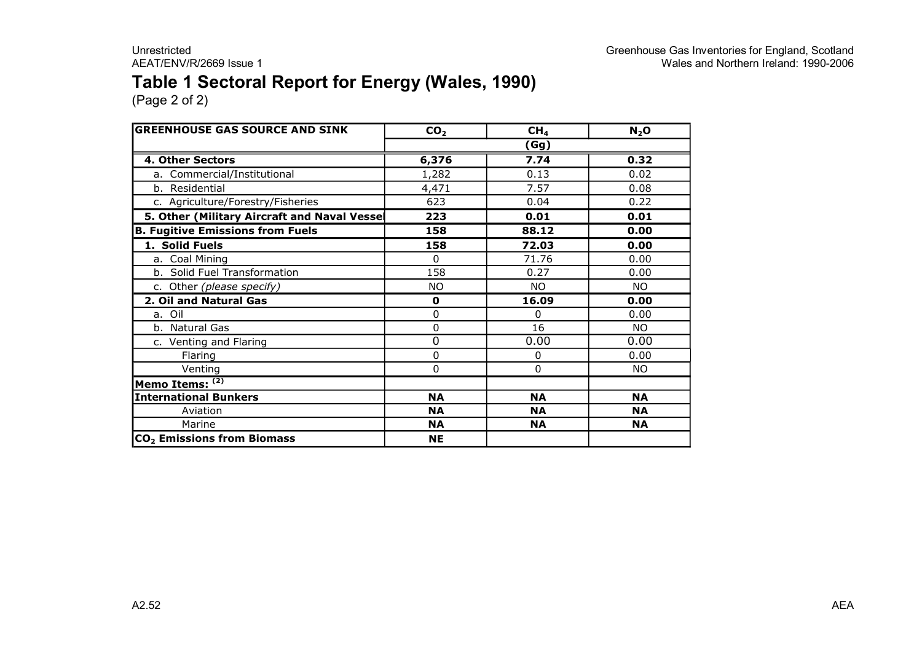### **Table 1 Sectoral Report for Energy (Wales, 1990)**

| <b>GREENHOUSE GAS SOURCE AND SINK</b>       | CO <sub>2</sub> | CH <sub>4</sub> | N <sub>2</sub> O |
|---------------------------------------------|-----------------|-----------------|------------------|
|                                             |                 | (Gg)            |                  |
| 4. Other Sectors                            | 6,376           | 7.74            | 0.32             |
| a. Commercial/Institutional                 | 1,282           | 0.13            | 0.02             |
| b. Residential                              | 4,471           | 7.57            | 0.08             |
| c. Agriculture/Forestry/Fisheries           | 623             | 0.04            | 0.22             |
| 5. Other (Military Aircraft and Naval Vesse | 223             | 0.01            | 0.01             |
| <b>B. Fugitive Emissions from Fuels</b>     | 158             | 88.12           | 0.00             |
| 1. Solid Fuels                              | 158             | 72.03           | 0.00             |
| a. Coal Mining                              | $\Omega$        | 71.76           | 0.00             |
| b. Solid Fuel Transformation                | 158             | 0.27            | 0.00             |
| c. Other (please specify)                   | <b>NO</b>       | <b>NO</b>       | <b>NO</b>        |
| 2. Oil and Natural Gas                      | $\mathbf 0$     | 16.09           | 0.00             |
| a. Oil                                      | 0               | 0               | 0.00             |
| b. Natural Gas                              | 0               | 16              | NO.              |
| c. Venting and Flaring                      | 0               | 0.00            | 0.00             |
| Flaring                                     | 0               | 0               | 0.00             |
| Venting                                     | 0               | 0               | NO.              |
| Memo Items: (2)                             |                 |                 |                  |
| <b>International Bunkers</b>                | <b>NA</b>       | <b>NA</b>       | <b>NA</b>        |
| Aviation                                    | NΑ              | <b>NA</b>       | <b>NA</b>        |
| Marine                                      | <b>NA</b>       | <b>NA</b>       | <b>NA</b>        |
| CO <sub>2</sub> Emissions from Biomass      | <b>NE</b>       |                 |                  |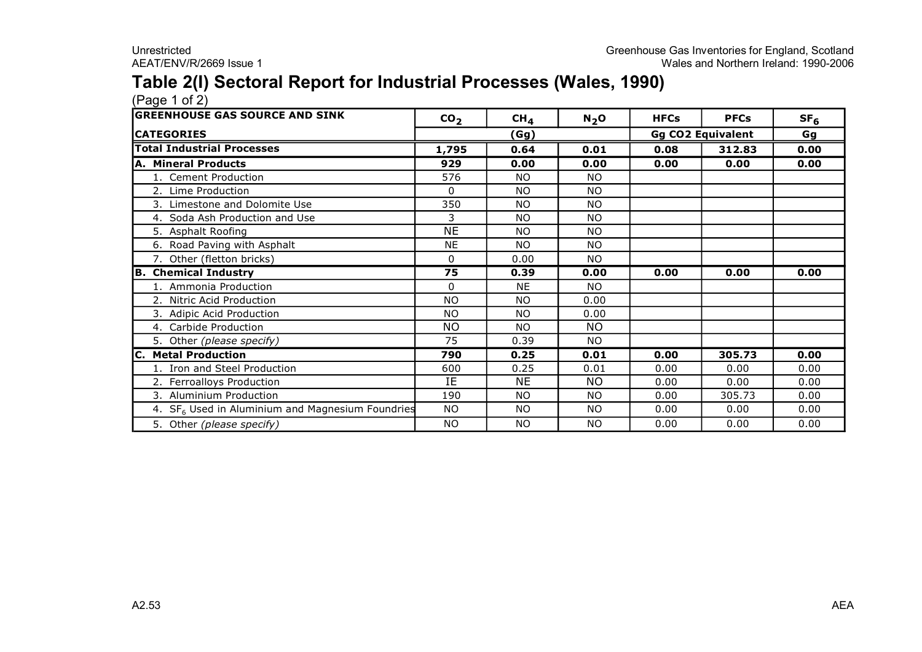### **Table 2(I) Sectoral Report for Industrial Processes (Wales, 1990)**

| <b>GREENHOUSE GAS SOURCE AND SINK</b>                        | CO <sub>2</sub> | CH <sub>4</sub> | $N_2$ O   | <b>HFCs</b> | <b>PFCs</b>              | SF <sub>6</sub> |
|--------------------------------------------------------------|-----------------|-----------------|-----------|-------------|--------------------------|-----------------|
| <b>ICATEGORIES</b>                                           |                 | <u>(Gg)</u>     |           |             | <b>Gg CO2 Equivalent</b> | Gg              |
| <b>Total Industrial Processes</b>                            | 1,795           | 0.64            | 0.01      | 0.08        | 312.83                   | 0.00            |
| A. Mineral Products                                          | 929             | 0.00            | 0.00      | 0.00        | 0.00                     | 0.00            |
| 1. Cement Production                                         | 576             | NO.             | NO.       |             |                          |                 |
| 2. Lime Production                                           | 0               | <b>NO</b>       | NO.       |             |                          |                 |
| 3. Limestone and Dolomite Use                                | 350             | NO.             | <b>NO</b> |             |                          |                 |
| 4. Soda Ash Production and Use                               | 3               | <b>NO</b>       | <b>NO</b> |             |                          |                 |
| 5. Asphalt Roofing                                           | <b>NE</b>       | NO.             | <b>NO</b> |             |                          |                 |
| 6. Road Paving with Asphalt                                  | <b>NE</b>       | NO.             | <b>NO</b> |             |                          |                 |
| 7. Other (fletton bricks)                                    | $\Omega$        | 0.00            | <b>NO</b> |             |                          |                 |
| <b>B. Chemical Industry</b>                                  | 75              | 0.39            | 0.00      | 0.00        | 0.00                     | 0.00            |
| 1. Ammonia Production                                        | $\Omega$        | <b>NE</b>       | NO.       |             |                          |                 |
| 2. Nitric Acid Production                                    | <b>NO</b>       | NO.             | 0.00      |             |                          |                 |
| 3. Adipic Acid Production                                    | <b>NO</b>       | NO.             | 0.00      |             |                          |                 |
| 4. Carbide Production                                        | <b>NO</b>       | <b>NO</b>       | NO.       |             |                          |                 |
| 5. Other (please specify)                                    | 75              | 0.39            | <b>NO</b> |             |                          |                 |
| <b>C. Metal Production</b>                                   | 790             | 0.25            | 0.01      | 0.00        | 305.73                   | 0.00            |
| 1. Iron and Steel Production                                 | 600             | 0.25            | 0.01      | 0.00        | 0.00                     | 0.00            |
| 2. Ferroalloys Production                                    | IE              | <b>NE</b>       | NO.       | 0.00        | 0.00                     | 0.00            |
| 3. Aluminium Production                                      | 190             | NO.             | NO.       | 0.00        | 305.73                   | 0.00            |
| 4. SF <sub>6</sub> Used in Aluminium and Magnesium Foundries | NO.             | <b>NO</b>       | <b>NO</b> | 0.00        | 0.00                     | 0.00            |
| 5. Other (please specify)                                    | <b>NO</b>       | <b>NO</b>       | NO.       | 0.00        | 0.00                     | 0.00            |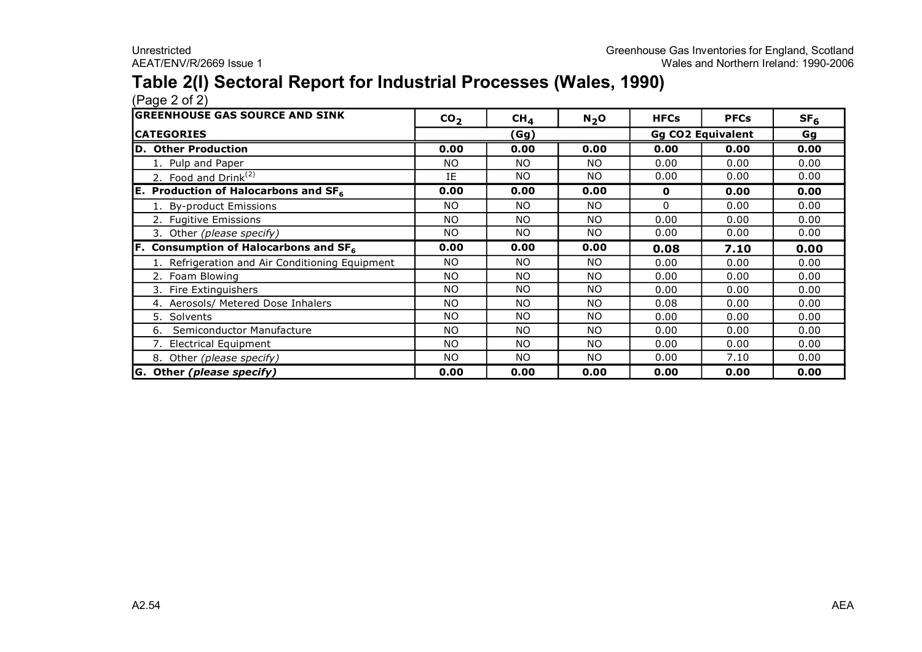### **Table 2(I) Sectoral Report for Industrial Processes (Wales, 1990)**

| <b>GREENHOUSE GAS SOURCE AND SINK</b>           | CO <sub>2</sub> | CH <sub>4</sub> | $N_2$ O   | <b>HFCs</b>              | <b>PFCs</b> | SF <sub>6</sub> |
|-------------------------------------------------|-----------------|-----------------|-----------|--------------------------|-------------|-----------------|
| <b>ICATEGORIES</b>                              |                 | (Gg)            |           | <b>Gg CO2 Equivalent</b> |             | Gg              |
| D. Other Production                             | 0.00            | 0.00            | 0.00      | 0.00                     | 0.00        | 0.00            |
| 1. Pulp and Paper                               | <b>NO</b>       | NO.             | <b>NO</b> | 0.00                     | 0.00        | 0.00            |
| 2. Food and Drink $(2)$                         | IE              | <b>NO</b>       | <b>NO</b> | 0.00                     | 0.00        | 0.00            |
| E. Production of Halocarbons and $SF6$          | 0.00            | 0.00            | 0.00      | 0                        | 0.00        | 0.00            |
| 1. By-product Emissions                         | NO.             | <b>NO</b>       | NO.       | $\Omega$                 | 0.00        | 0.00            |
| 2. Fugitive Emissions                           | <b>NO</b>       | <b>NO</b>       | <b>NO</b> | 0.00                     | 0.00        | 0.00            |
| 3. Other (please specify)                       | <b>NO</b>       | <b>NO</b>       | <b>NO</b> | 0.00                     | 0.00        | 0.00            |
| <b>F.</b> Consumption of Halocarbons and $SF6$  | 0.00            | 0.00            | 0.00      | 0.08                     | 7.10        | 0.00            |
| 1. Refrigeration and Air Conditioning Equipment | <b>NO</b>       | NO.             | <b>NO</b> | 0.00                     | 0.00        | 0.00            |
| 2. Foam Blowing                                 | <b>NO</b>       | NO.             | <b>NO</b> | 0.00                     | 0.00        | 0.00            |
| 3. Fire Extinguishers                           | <b>NO</b>       | <b>NO</b>       | <b>NO</b> | 0.00                     | 0.00        | 0.00            |
| 4. Aerosols/ Metered Dose Inhalers              | <b>NO</b>       | NO.             | <b>NO</b> | 0.08                     | 0.00        | 0.00            |
| 5. Solvents                                     | <b>NO</b>       | NO.             | <b>NO</b> | 0.00                     | 0.00        | 0.00            |
| Semiconductor Manufacture<br>6.                 | <b>NO</b>       | NO.             | <b>NO</b> | 0.00                     | 0.00        | 0.00            |
| 7. Electrical Equipment                         | <b>NO</b>       | NO.             | <b>NO</b> | 0.00                     | 0.00        | 0.00            |
| 8. Other (please specify)                       | <b>NO</b>       | NO.             | <b>NO</b> | 0.00                     | 7.10        | 0.00            |
| G. Other (please specify)                       | 0.00            | 0.00            | 0.00      | 0.00                     | 0.00        | 0.00            |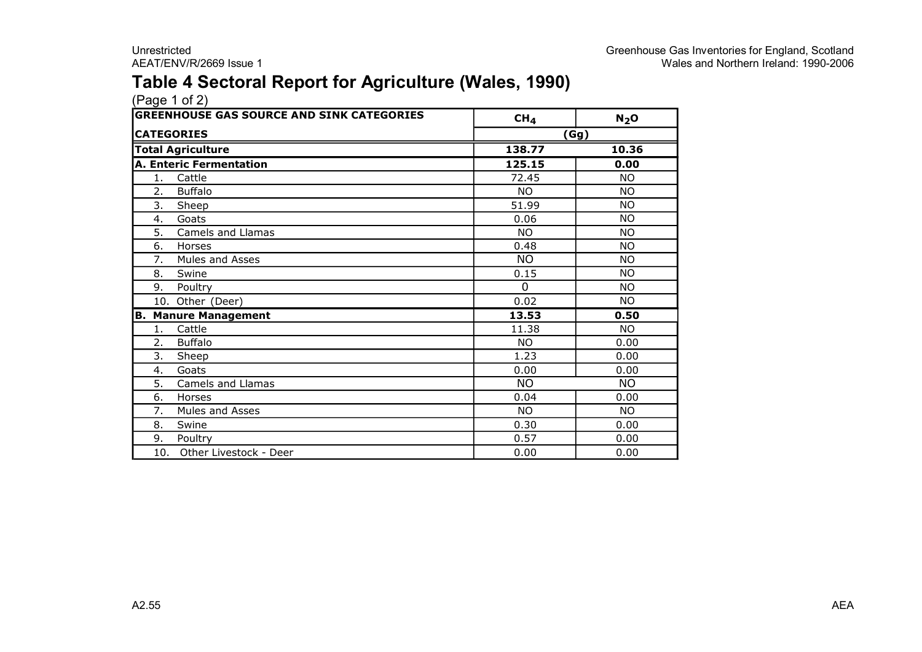### **Table 4 Sectoral Report for Agriculture (Wales, 1990)**

|    | <b>GREENHOUSE GAS SOURCE AND SINK CATEGORIES</b> | CH <sub>4</sub><br>$N_2$ O |                 |  |
|----|--------------------------------------------------|----------------------------|-----------------|--|
|    | <b>CATEGORIES</b>                                |                            | (Gg)            |  |
|    |                                                  |                            |                 |  |
|    | <b>Total Agriculture</b>                         | 138.77                     | 10.36           |  |
|    | <b>A. Enteric Fermentation</b>                   | 125.15                     | 0.00            |  |
| 1. | Cattle                                           | 72.45                      | <b>NO</b>       |  |
| 2. | <b>Buffalo</b>                                   | NO.                        | <b>NO</b>       |  |
| 3. | Sheep                                            | 51.99                      | <b>NO</b>       |  |
| 4. | Goats                                            | 0.06                       | <b>NO</b>       |  |
| 5. | Camels and Llamas                                | NO.                        | <b>NO</b>       |  |
| 6. | Horses                                           | 0.48                       | <b>NO</b>       |  |
| 7. | Mules and Asses                                  | NO.                        | <b>NO</b>       |  |
| 8. | Swine                                            | 0.15                       | <b>NO</b>       |  |
| 9. | Poultry                                          | $\Omega$                   | <b>NO</b>       |  |
|    | 10. Other (Deer)                                 | 0.02                       | <b>NO</b>       |  |
| в. | <b>Manure Management</b>                         | 13.53                      | 0.50            |  |
| 1. | Cattle                                           | 11.38                      | <b>NO</b>       |  |
| 2. | <b>Buffalo</b>                                   | <b>NO</b>                  | 0.00            |  |
| 3. | Sheep                                            | 1.23                       | 0.00            |  |
| 4. | Goats                                            | 0.00                       | 0.00            |  |
| 5. | Camels and Llamas                                | <b>NO</b>                  | $\overline{NO}$ |  |
| 6. | Horses                                           | 0.04                       | 0.00            |  |
| 7. | Mules and Asses                                  | <b>NO</b>                  | <b>NO</b>       |  |
| 8. | Swine                                            | 0.30                       | 0.00            |  |
| 9. | Poultry                                          | 0.57                       | 0.00            |  |
|    | 10. Other Livestock - Deer                       | 0.00                       | 0.00            |  |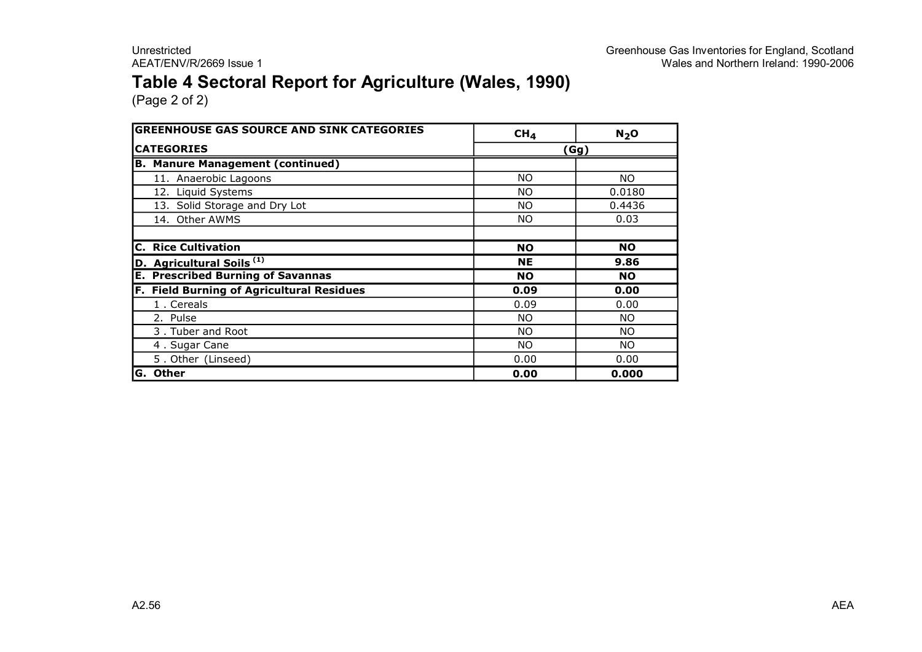### **Table 4 Sectoral Report for Agriculture (Wales, 1990)**

| <b>GREENHOUSE GAS SOURCE AND SINK CATEGORIES</b> | CH <sub>4</sub> | N <sub>2</sub> O |
|--------------------------------------------------|-----------------|------------------|
| <b>CATEGORIES</b>                                |                 | (Gg)             |
| <b>B. Manure Management (continued)</b>          |                 |                  |
| 11. Anaerobic Lagoons                            | NO.             | NO.              |
| 12. Liquid Systems                               | NO.             | 0.0180           |
| 13. Solid Storage and Dry Lot                    | NO.             | 0.4436           |
| 14. Other AWMS                                   | NO.             | 0.03             |
|                                                  |                 |                  |
| <b>C. Rice Cultivation</b>                       | <b>NO</b>       | <b>NO</b>        |
| D. Agricultural Soils <sup>(1)</sup>             | <b>NE</b>       | 9.86             |
| <b>E. Prescribed Burning of Savannas</b>         | <b>NO</b>       | <b>NO</b>        |
| F. Field Burning of Agricultural Residues        | 0.09            | 0.00             |
| 1. Cereals                                       | 0.09            | 0.00             |
| 2. Pulse                                         | NO.             | NO.              |
| 3. Tuber and Root                                | NO.             | NO.              |
| 4. Sugar Cane                                    | NO.             | NO.              |
| 5. Other (Linseed)                               | 0.00            | 0.00             |
| G. Other                                         | 0.00            | 0.000            |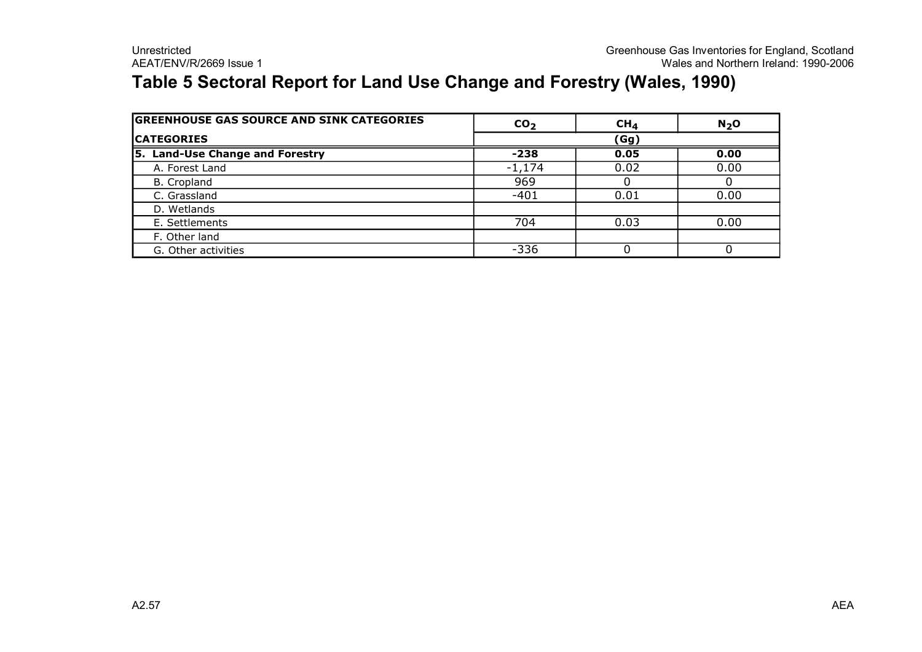### **Table 5 Sectoral Report for Land Use Change and Forestry (Wales, 1990)**

| <b>GREENHOUSE GAS SOURCE AND SINK CATEGORIES</b> | CO <sub>2</sub> | CH <sub>4</sub> | N <sub>2</sub> O |  |  |
|--------------------------------------------------|-----------------|-----------------|------------------|--|--|
| <b>ICATEGORIES</b>                               | (Gg)            |                 |                  |  |  |
| 5. Land-Use Change and Forestry                  | $-238$          | 0.05            | 0.00             |  |  |
| A. Forest Land                                   | $-1,174$        | 0.02            | 0.00             |  |  |
| B. Cropland                                      | 969             |                 |                  |  |  |
| C. Grassland                                     | $-401$          | 0.01            | 0.00             |  |  |
| D. Wetlands                                      |                 |                 |                  |  |  |
| E. Settlements                                   | 704             | 0.03            | 0.00             |  |  |
| F. Other land                                    |                 |                 |                  |  |  |
| G. Other activities                              | $-336$          |                 |                  |  |  |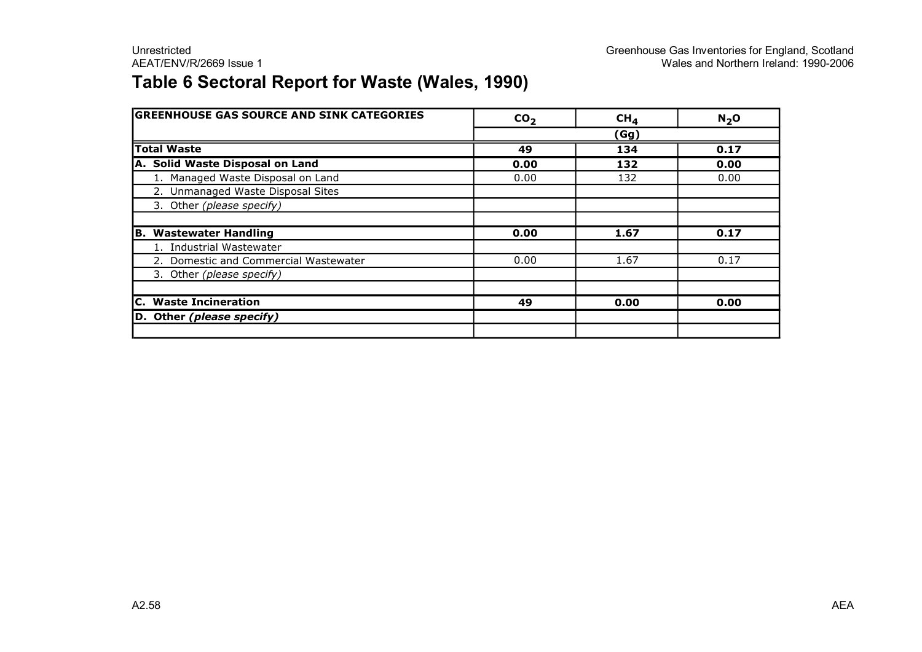### **Table 6 Sectoral Report for Waste (Wales, 1990)**

| <b>GREENHOUSE GAS SOURCE AND SINK CATEGORIES</b> | CO <sub>2</sub> | CH <sub>4</sub> | N <sub>2</sub> O |
|--------------------------------------------------|-----------------|-----------------|------------------|
|                                                  |                 | (Gg)            |                  |
| <b>Total Waste</b>                               | 49              | 134             | 0.17             |
| A. Solid Waste Disposal on Land                  | 0.00            | 132             | 0.00             |
| 1. Managed Waste Disposal on Land                | 0.00            | 132             | 0.00             |
| 2. Unmanaged Waste Disposal Sites                |                 |                 |                  |
| 3. Other (please specify)                        |                 |                 |                  |
|                                                  |                 |                 |                  |
| <b>Wastewater Handling</b><br>В.                 | 0.00            | 1.67            | 0.17             |
| 1. Industrial Wastewater                         |                 |                 |                  |
| 2. Domestic and Commercial Wastewater            | 0.00            | 1.67            | 0.17             |
| 3. Other (please specify)                        |                 |                 |                  |
|                                                  |                 |                 |                  |
| <b>C.</b> Waste Incineration                     | 49              | 0.00            | 0.00             |
| D. Other (please specify)                        |                 |                 |                  |
|                                                  |                 |                 |                  |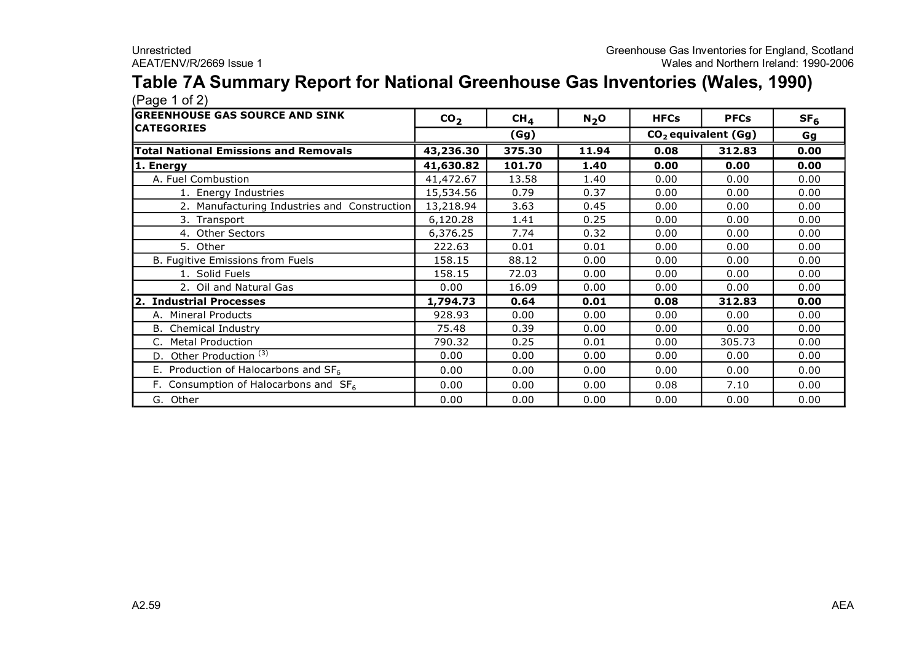#### **Table 7A Summary Report for National Greenhouse Gas Inventories (Wales, 1990)**  $(Pane 1 of 2)$

| $(1 \omega)$                                 |                 |                 |                  |                                 |             |                 |
|----------------------------------------------|-----------------|-----------------|------------------|---------------------------------|-------------|-----------------|
| <b>GREENHOUSE GAS SOURCE AND SINK</b>        | CO <sub>2</sub> | CH <sub>4</sub> | N <sub>2</sub> O | <b>HFCs</b>                     | <b>PFCs</b> | SF <sub>6</sub> |
| <b>CATEGORIES</b>                            |                 | (Gg)            |                  | CO <sub>2</sub> equivalent (Gg) |             | Gg              |
| <b>Total National Emissions and Removals</b> | 43,236.30       | 375.30          | 11.94            | 0.08                            | 312.83      | 0.00            |
| 1. Energy                                    | 41,630.82       | 101.70          | 1.40             | 0.00                            | 0.00        | 0.00            |
| A. Fuel Combustion                           | 41,472.67       | 13.58           | 1.40             | 0.00                            | 0.00        | 0.00            |
| 1. Energy Industries                         | 15,534.56       | 0.79            | 0.37             | 0.00                            | 0.00        | 0.00            |
| 2. Manufacturing Industries and Construction | 13,218.94       | 3.63            | 0.45             | 0.00                            | 0.00        | 0.00            |
| 3. Transport                                 | 6,120.28        | 1.41            | 0.25             | 0.00                            | 0.00        | 0.00            |
| 4. Other Sectors                             | 6,376.25        | 7.74            | 0.32             | 0.00                            | 0.00        | 0.00            |
| 5. Other                                     | 222.63          | 0.01            | 0.01             | 0.00                            | 0.00        | 0.00            |
| B. Fugitive Emissions from Fuels             | 158.15          | 88.12           | 0.00             | 0.00                            | 0.00        | 0.00            |
| 1. Solid Fuels                               | 158.15          | 72.03           | 0.00             | 0.00                            | 0.00        | 0.00            |
| 2. Oil and Natural Gas                       | 0.00            | 16.09           | 0.00             | 0.00                            | 0.00        | 0.00            |
| 2. Industrial Processes                      | 1,794.73        | 0.64            | 0.01             | 0.08                            | 312.83      | 0.00            |
| A. Mineral Products                          | 928.93          | 0.00            | 0.00             | 0.00                            | 0.00        | 0.00            |
| <b>B.</b> Chemical Industry                  | 75.48           | 0.39            | 0.00             | 0.00                            | 0.00        | 0.00            |
| <b>Metal Production</b>                      | 790.32          | 0.25            | 0.01             | 0.00                            | 305.73      | 0.00            |
| D. Other Production $\overline{^{(3)}}$      | 0.00            | 0.00            | 0.00             | 0.00                            | 0.00        | 0.00            |
| E. Production of Halocarbons and $SF6$       | 0.00            | 0.00            | 0.00             | 0.00                            | 0.00        | 0.00            |
| F. Consumption of Halocarbons and $SF6$      | 0.00            | 0.00            | 0.00             | 0.08                            | 7.10        | 0.00            |
| G. Other                                     | 0.00            | 0.00            | 0.00             | 0.00                            | 0.00        | 0.00            |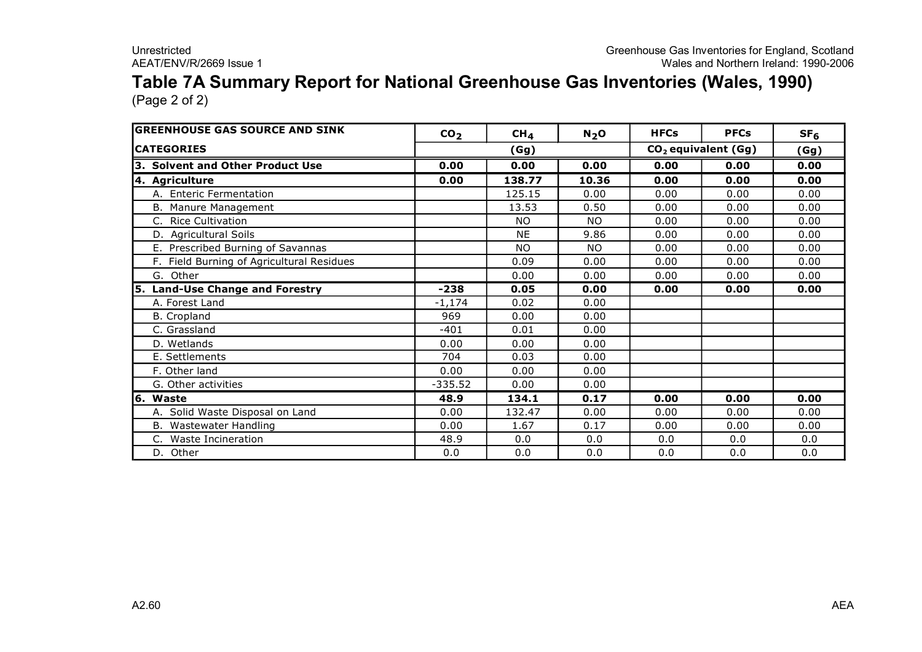#### **Table 7A Summary Report for National Greenhouse Gas Inventories (Wales, 1990)** (Page 2 of 2)

| <b>GREENHOUSE GAS SOURCE AND SINK</b>     | CO <sub>2</sub> | CH <sub>4</sub> | $N_2$ O   | <b>HFCs</b>           | <b>PFCs</b> | SF <sub>6</sub> |
|-------------------------------------------|-----------------|-----------------|-----------|-----------------------|-------------|-----------------|
| <b>ICATEGORIES</b>                        |                 | (Gg)            |           | $CO2$ equivalent (Gg) | (Gg)        |                 |
| 3. Solvent and Other Product Use          | 0.00            | 0.00            | 0.00      | 0.00                  | 0.00        | 0.00            |
| 4. Agriculture                            | 0.00            | 138.77          | 10.36     | 0.00                  | 0.00        | 0.00            |
| A. Enteric Fermentation                   |                 | 125.15          | 0.00      | 0.00                  | 0.00        | 0.00            |
| B. Manure Management                      |                 | 13.53           | 0.50      | 0.00                  | 0.00        | 0.00            |
| C. Rice Cultivation                       |                 | <b>NO</b>       | <b>NO</b> | 0.00                  | 0.00        | 0.00            |
| D. Agricultural Soils                     |                 | <b>NE</b>       | 9.86      | 0.00                  | 0.00        | 0.00            |
| E. Prescribed Burning of Savannas         |                 | <b>NO</b>       | <b>NO</b> | 0.00                  | 0.00        | 0.00            |
| F. Field Burning of Agricultural Residues |                 | 0.09            | 0.00      | 0.00                  | 0.00        | 0.00            |
| G. Other                                  |                 | 0.00            | 0.00      | 0.00                  | 0.00        | 0.00            |
| 5. Land-Use Change and Forestry           | $-238$          | 0.05            | 0.00      | 0.00                  | 0.00        | 0.00            |
| A. Forest Land                            | $-1,174$        | 0.02            | 0.00      |                       |             |                 |
| B. Cropland                               | 969             | 0.00            | 0.00      |                       |             |                 |
| C. Grassland                              | $-401$          | 0.01            | 0.00      |                       |             |                 |
| D. Wetlands                               | 0.00            | 0.00            | 0.00      |                       |             |                 |
| E. Settlements                            | 704             | 0.03            | 0.00      |                       |             |                 |
| F. Other land                             | 0.00            | 0.00            | 0.00      |                       |             |                 |
| G. Other activities                       | $-335.52$       | 0.00            | 0.00      |                       |             |                 |
| 16. Waste                                 | 48.9            | 134.1           | 0.17      | 0.00                  | 0.00        | 0.00            |
| A. Solid Waste Disposal on Land           | 0.00            | 132.47          | 0.00      | 0.00                  | 0.00        | 0.00            |
| B. Wastewater Handling                    | 0.00            | 1.67            | 0.17      | 0.00                  | 0.00        | 0.00            |
| C. Waste Incineration                     | 48.9            | 0.0             | 0.0       | 0.0                   | 0.0         | 0.0             |
| D. Other                                  | 0.0             | 0.0             | 0.0       | 0.0                   | 0.0         | 0.0             |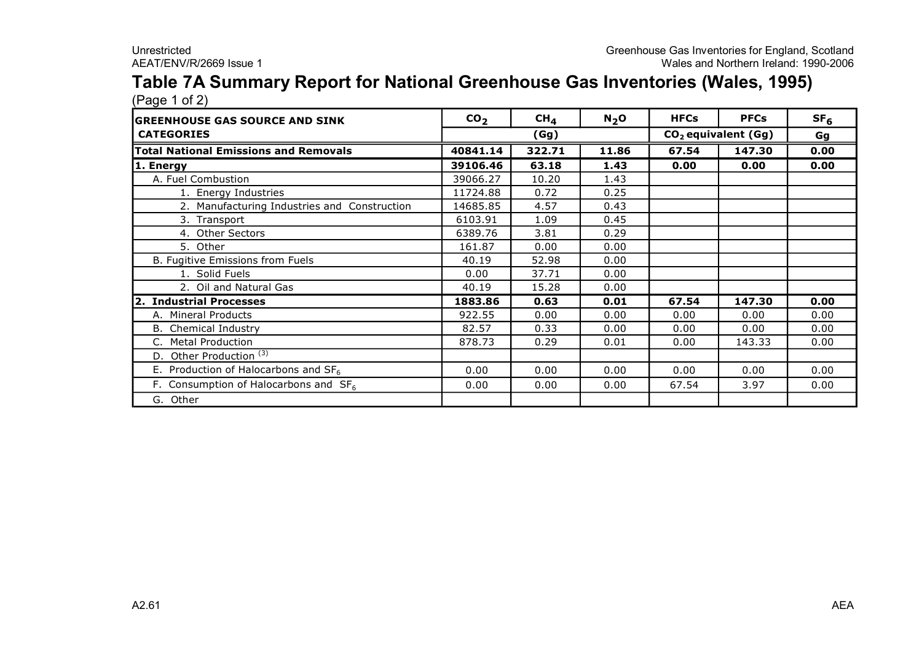## **Table 7A Summary Report for National Greenhouse Gas Inventories (Wales, 1995)**

| (Page 1 of 2)                                    |                 |                 |         |             |                       |                 |
|--------------------------------------------------|-----------------|-----------------|---------|-------------|-----------------------|-----------------|
| <b>GREENHOUSE GAS SOURCE AND SINK</b>            | CO <sub>2</sub> | CH <sub>4</sub> | $N_2$ O | <b>HFCs</b> | <b>PFCs</b>           | SF <sub>6</sub> |
| <b>CATEGORIES</b>                                |                 | (Gg)            |         |             | $CO2$ equivalent (Gg) | Gg              |
| <b>Total National Emissions and Removals</b>     | 40841.14        | 322.71          | 11.86   | 67.54       | 147.30                | 0.00            |
| 1. Energy                                        | 39106.46        | 63.18           | 1.43    | 0.00        | 0.00                  | 0.00            |
| A. Fuel Combustion                               | 39066.27        | 10.20           | 1.43    |             |                       |                 |
| 1. Energy Industries                             | 11724.88        | 0.72            | 0.25    |             |                       |                 |
| 2. Manufacturing Industries and Construction     | 14685.85        | 4.57            | 0.43    |             |                       |                 |
| 3. Transport                                     | 6103.91         | 1.09            | 0.45    |             |                       |                 |
| 4. Other Sectors                                 | 6389.76         | 3.81            | 0.29    |             |                       |                 |
| 5. Other                                         | 161.87          | 0.00            | 0.00    |             |                       |                 |
| B. Fugitive Emissions from Fuels                 | 40.19           | 52.98           | 0.00    |             |                       |                 |
| 1. Solid Fuels                                   | 0.00            | 37.71           | 0.00    |             |                       |                 |
| 2. Oil and Natural Gas                           | 40.19           | 15.28           | 0.00    |             |                       |                 |
| 2. Industrial Processes                          | 1883.86         | 0.63            | 0.01    | 67.54       | 147.30                | 0.00            |
| A. Mineral Products                              | 922.55          | 0.00            | 0.00    | 0.00        | 0.00                  | 0.00            |
| <b>B.</b> Chemical Industry                      | 82.57           | 0.33            | 0.00    | 0.00        | 0.00                  | 0.00            |
| C. Metal Production                              | 878.73          | 0.29            | 0.01    | 0.00        | 143.33                | 0.00            |
| D. Other Production $\overline{(3)}$             |                 |                 |         |             |                       |                 |
| E. Production of Halocarbons and SF <sub>6</sub> | 0.00            | 0.00            | 0.00    | 0.00        | 0.00                  | 0.00            |
| F. Consumption of Halocarbons and $SF6$          | 0.00            | 0.00            | 0.00    | 67.54       | 3.97                  | 0.00            |
| G. Other                                         |                 |                 |         |             |                       |                 |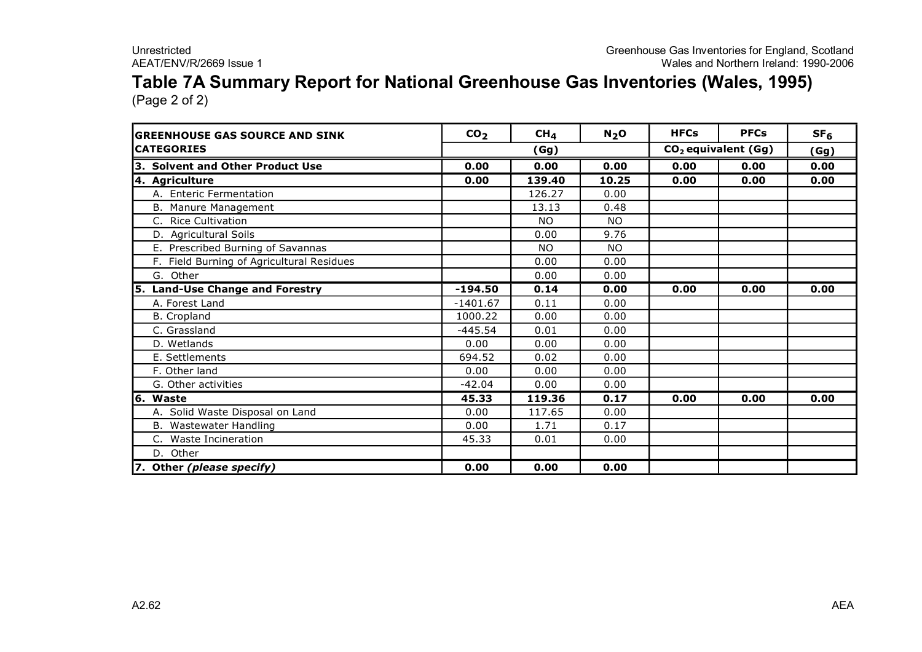### **Table 7A Summary Report for National Greenhouse Gas Inventories (Wales, 1995)** (Page 2 of 2)

| <b>GREENHOUSE GAS SOURCE AND SINK</b>     | CO <sub>2</sub> | CH <sub>4</sub> | $N_2$ O   | <b>HFCs</b> | <b>PFCs</b>                     | SF <sub>6</sub> |
|-------------------------------------------|-----------------|-----------------|-----------|-------------|---------------------------------|-----------------|
| <b>CATEGORIES</b>                         |                 | (Gg)            |           |             | CO <sub>2</sub> equivalent (Gg) | (Gg)            |
| 3. Solvent and Other Product Use          | 0.00            | 0.00            | 0.00      | 0.00        | 0.00                            | 0.00            |
| 4. Agriculture                            | 0.00            | 139.40          | 10.25     | 0.00        | 0.00                            | 0.00            |
| A. Enteric Fermentation                   |                 | 126.27          | 0.00      |             |                                 |                 |
| B. Manure Management                      |                 | 13.13           | 0.48      |             |                                 |                 |
| C. Rice Cultivation                       |                 | <b>NO</b>       | <b>NO</b> |             |                                 |                 |
| D. Agricultural Soils                     |                 | 0.00            | 9.76      |             |                                 |                 |
| E. Prescribed Burning of Savannas         |                 | <b>NO</b>       | <b>NO</b> |             |                                 |                 |
| F. Field Burning of Agricultural Residues |                 | 0.00            | 0.00      |             |                                 |                 |
| G. Other                                  |                 | 0.00            | 0.00      |             |                                 |                 |
| 5. Land-Use Change and Forestry           | $-194.50$       | 0.14            | 0.00      | 0.00        | 0.00                            | 0.00            |
| A. Forest Land                            | $-1401.67$      | 0.11            | 0.00      |             |                                 |                 |
| <b>B.</b> Cropland                        | 1000.22         | 0.00            | 0.00      |             |                                 |                 |
| C. Grassland                              | $-445.54$       | 0.01            | 0.00      |             |                                 |                 |
| D. Wetlands                               | 0.00            | 0.00            | 0.00      |             |                                 |                 |
| E. Settlements                            | 694.52          | 0.02            | 0.00      |             |                                 |                 |
| F. Other land                             | 0.00            | 0.00            | 0.00      |             |                                 |                 |
| G. Other activities                       | $-42.04$        | 0.00            | 0.00      |             |                                 |                 |
| 6. Waste                                  | 45.33           | 119.36          | 0.17      | 0.00        | 0.00                            | 0.00            |
| A. Solid Waste Disposal on Land           | 0.00            | 117.65          | 0.00      |             |                                 |                 |
| B. Wastewater Handling                    | 0.00            | 1.71            | 0.17      |             |                                 |                 |
| C. Waste Incineration                     | 45.33           | 0.01            | 0.00      |             |                                 |                 |
| D. Other                                  |                 |                 |           |             |                                 |                 |
| 7. Other (please specify)                 | 0.00            | 0.00            | 0.00      |             |                                 |                 |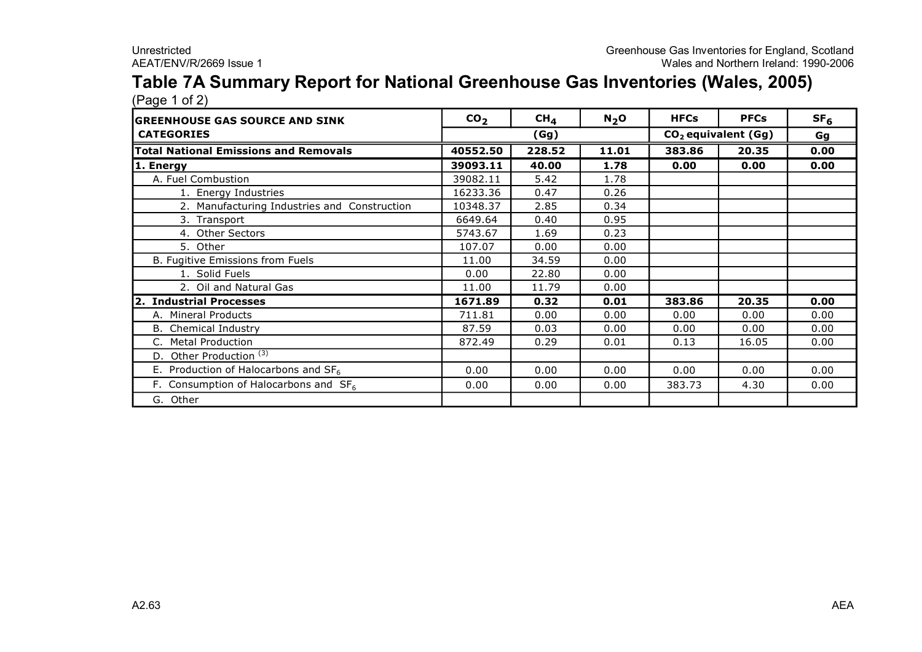#### **Table 7A Summary Report for National Greenhouse Gas Inventories (Wales, 2005)** (Page 1 of 2)

| . ugu . u. m<br><b>GREENHOUSE GAS SOURCE AND SINK</b> | CO <sub>2</sub> | CH <sub>4</sub> | N <sub>2</sub> O | <b>HFCs</b>                     | <b>PFCs</b> | SF <sub>6</sub> |
|-------------------------------------------------------|-----------------|-----------------|------------------|---------------------------------|-------------|-----------------|
| <b>CATEGORIES</b>                                     |                 | (Gg)            |                  | CO <sub>2</sub> equivalent (Gg) |             | Gg              |
| <b>Total National Emissions and Removals</b>          | 40552.50        | 228.52          | 11.01            | 383.86                          | 20.35       | 0.00            |
| 1. Energy                                             | 39093.11        | 40.00           | 1.78             | 0.00                            | 0.00        | 0.00            |
| A. Fuel Combustion                                    | 39082.11        | 5.42            | 1.78             |                                 |             |                 |
| 1. Energy Industries                                  | 16233.36        | 0.47            | 0.26             |                                 |             |                 |
| 2. Manufacturing Industries and Construction          | 10348.37        | 2.85            | 0.34             |                                 |             |                 |
| 3. Transport                                          | 6649.64         | 0.40            | 0.95             |                                 |             |                 |
| 4. Other Sectors                                      | 5743.67         | 1.69            | 0.23             |                                 |             |                 |
| 5. Other                                              | 107.07          | 0.00            | 0.00             |                                 |             |                 |
| B. Fugitive Emissions from Fuels                      | 11.00           | 34.59           | 0.00             |                                 |             |                 |
| 1. Solid Fuels                                        | 0.00            | 22.80           | 0.00             |                                 |             |                 |
| 2. Oil and Natural Gas                                | 11.00           | 11.79           | 0.00             |                                 |             |                 |
| 2. Industrial Processes                               | 1671.89         | 0.32            | 0.01             | 383.86                          | 20.35       | 0.00            |
| A. Mineral Products                                   | 711.81          | 0.00            | 0.00             | 0.00                            | 0.00        | 0.00            |
| B. Chemical Industry                                  | 87.59           | 0.03            | 0.00             | 0.00                            | 0.00        | 0.00            |
| C. Metal Production                                   | 872.49          | 0.29            | 0.01             | 0.13                            | 16.05       | 0.00            |
| D. Other Production <sup>(3)</sup>                    |                 |                 |                  |                                 |             |                 |
| E. Production of Halocarbons and $SF6$                | 0.00            | 0.00            | 0.00             | 0.00                            | 0.00        | 0.00            |
| F. Consumption of Halocarbons and $SF6$               | 0.00            | 0.00            | 0.00             | 383.73                          | 4.30        | 0.00            |
| G. Other                                              |                 |                 |                  |                                 |             |                 |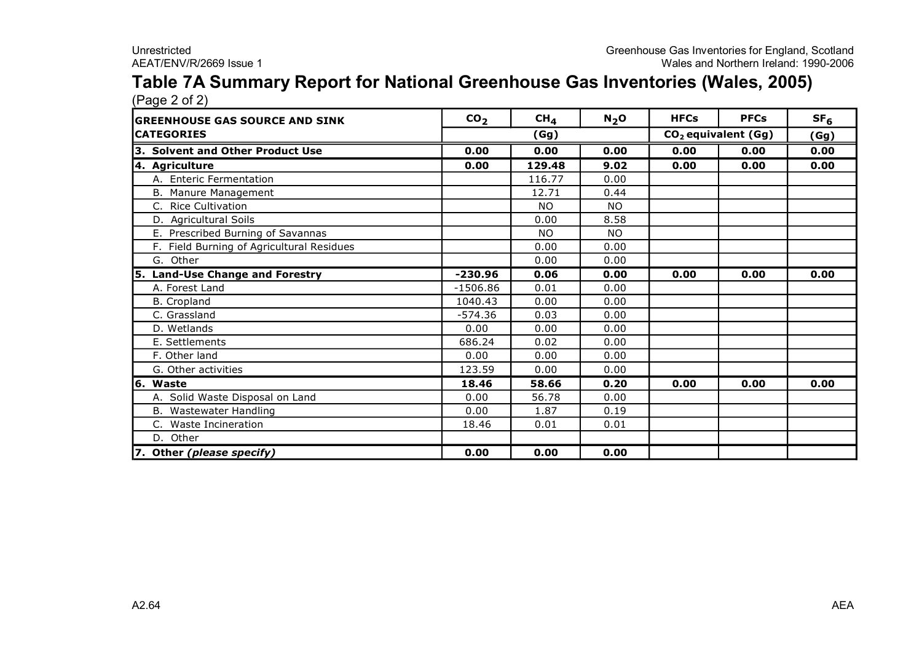#### **Table 7A Summary Report for National Greenhouse Gas Inventories (Wales, 2005)** (Page 2 of 2)

| <b>GREENHOUSE GAS SOURCE AND SINK</b>     | CO <sub>2</sub> | CH <sub>4</sub> | $N_2$ O   | <b>HFCs</b> | <b>PFCs</b>                     | SF <sub>6</sub> |
|-------------------------------------------|-----------------|-----------------|-----------|-------------|---------------------------------|-----------------|
| <b>CATEGORIES</b>                         |                 | (Gg)            |           |             | CO <sub>2</sub> equivalent (Gg) | (Gg)            |
| 3. Solvent and Other Product Use          | 0.00            | 0.00            | 0.00      | 0.00        | 0.00                            | 0.00            |
| 4. Agriculture                            | 0.00            | 129.48          | 9.02      | 0.00        | 0.00                            | 0.00            |
| A. Enteric Fermentation                   |                 | 116.77          | 0.00      |             |                                 |                 |
| B. Manure Management                      |                 | 12.71           | 0.44      |             |                                 |                 |
| C. Rice Cultivation                       |                 | <b>NO</b>       | <b>NO</b> |             |                                 |                 |
| D. Agricultural Soils                     |                 | 0.00            | 8.58      |             |                                 |                 |
| E. Prescribed Burning of Savannas         |                 | <b>NO</b>       | NO.       |             |                                 |                 |
| F. Field Burning of Agricultural Residues |                 | 0.00            | 0.00      |             |                                 |                 |
| G. Other                                  |                 | 0.00            | 0.00      |             |                                 |                 |
| 5. Land-Use Change and Forestry           | $-230.96$       | 0.06            | 0.00      | 0.00        | 0.00                            | 0.00            |
| A. Forest Land                            | $-1506.86$      | 0.01            | 0.00      |             |                                 |                 |
| <b>B.</b> Cropland                        | 1040.43         | 0.00            | 0.00      |             |                                 |                 |
| C. Grassland                              | $-574.36$       | 0.03            | 0.00      |             |                                 |                 |
| D. Wetlands                               | 0.00            | 0.00            | 0.00      |             |                                 |                 |
| E. Settlements                            | 686.24          | 0.02            | 0.00      |             |                                 |                 |
| F. Other land                             | 0.00            | 0.00            | 0.00      |             |                                 |                 |
| G. Other activities                       | 123.59          | 0.00            | 0.00      |             |                                 |                 |
| 6. Waste                                  | 18.46           | 58.66           | 0.20      | 0.00        | 0.00                            | 0.00            |
| A. Solid Waste Disposal on Land           | 0.00            | 56.78           | 0.00      |             |                                 |                 |
| B. Wastewater Handling                    | 0.00            | 1.87            | 0.19      |             |                                 |                 |
| C. Waste Incineration                     | 18.46           | 0.01            | 0.01      |             |                                 |                 |
| D. Other                                  |                 |                 |           |             |                                 |                 |
| 7. Other (please specify)                 | 0.00            | 0.00            | 0.00      |             |                                 |                 |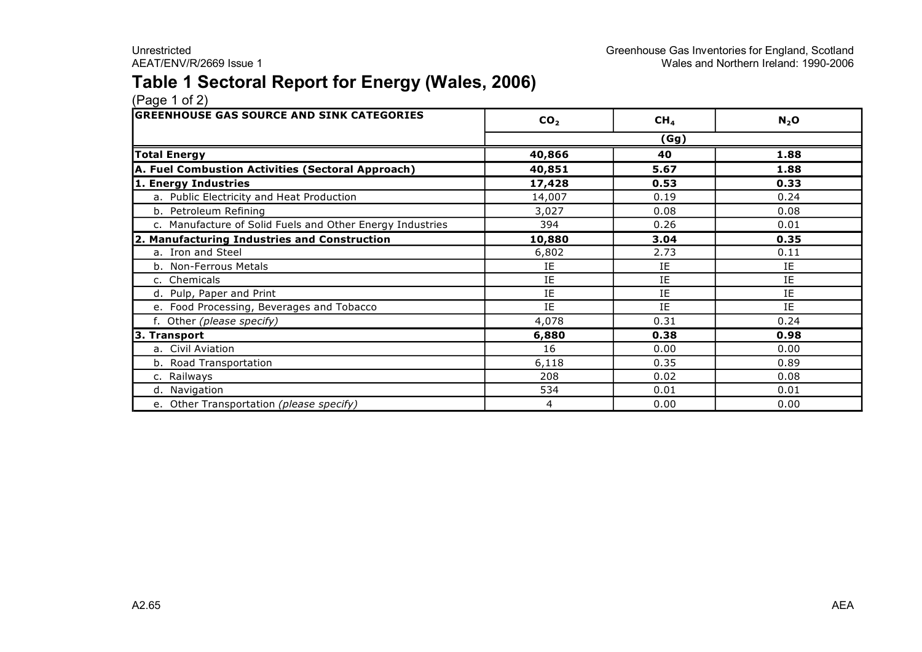### **Table 1 Sectoral Report for Energy (Wales, 2006)**

| <b>GREENHOUSE GAS SOURCE AND SINK CATEGORIES</b>          | CO <sub>2</sub> | CH <sub>4</sub> | $N_2$ O |
|-----------------------------------------------------------|-----------------|-----------------|---------|
|                                                           |                 | (Gg)            |         |
| <b>Total Energy</b>                                       | 40,866          | 40              | 1.88    |
| A. Fuel Combustion Activities (Sectoral Approach)         | 40,851          | 5.67            | 1.88    |
| 1. Energy Industries                                      | 17,428          | 0.53            | 0.33    |
| a. Public Electricity and Heat Production                 | 14,007          | 0.19            | 0.24    |
| b. Petroleum Refining                                     | 3,027           | 0.08            | 0.08    |
| c. Manufacture of Solid Fuels and Other Energy Industries | 394             | 0.26            | 0.01    |
| 2. Manufacturing Industries and Construction              | 10,880          | 3.04            | 0.35    |
| a. Iron and Steel                                         | 6,802           | 2.73            | 0.11    |
| b. Non-Ferrous Metals                                     | IE              | IE              | IE      |
| c. Chemicals                                              | IE              | IE              | IE      |
| d. Pulp, Paper and Print                                  | IE              | IE              | IE      |
| e. Food Processing, Beverages and Tobacco                 | IE              | IE              | IE      |
| f. Other (please specify)                                 | 4,078           | 0.31            | 0.24    |
| 3. Transport                                              | 6,880           | 0.38            | 0.98    |
| a. Civil Aviation                                         | 16              | 0.00            | 0.00    |
| b. Road Transportation                                    | 6,118           | 0.35            | 0.89    |
| c. Railways                                               | 208             | 0.02            | 0.08    |
| d. Navigation                                             | 534             | 0.01            | 0.01    |
| e. Other Transportation (please specify)                  | 4               | 0.00            | 0.00    |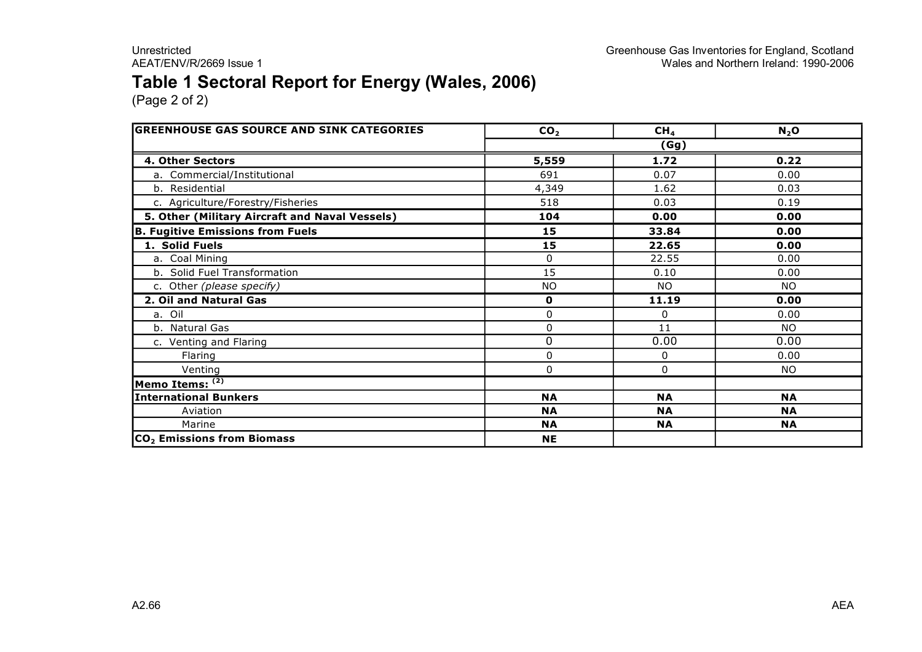### **Table 1 Sectoral Report for Energy (Wales, 2006)**

| <b>GREENHOUSE GAS SOURCE AND SINK CATEGORIES</b> | CO <sub>2</sub> | CH <sub>4</sub> | N <sub>2</sub> O |  |  |  |
|--------------------------------------------------|-----------------|-----------------|------------------|--|--|--|
|                                                  | (Gg)            |                 |                  |  |  |  |
| 4. Other Sectors                                 | 5,559           | 1.72            | 0.22             |  |  |  |
| a. Commercial/Institutional                      | 691             | 0.07            | 0.00             |  |  |  |
| b. Residential                                   | 4,349           | 1.62            | 0.03             |  |  |  |
| c. Agriculture/Forestry/Fisheries                | 518             | 0.03            | 0.19             |  |  |  |
| 5. Other (Military Aircraft and Naval Vessels)   | 104             | 0.00            | 0.00             |  |  |  |
| <b>B. Fugitive Emissions from Fuels</b>          | 15              | 33.84           | 0.00             |  |  |  |
| 1. Solid Fuels                                   | 15              | 22.65           | 0.00             |  |  |  |
| a. Coal Mining                                   | 0               | 22.55           | 0.00             |  |  |  |
| b. Solid Fuel Transformation                     | 15              | 0.10            | 0.00             |  |  |  |
| c. Other (please specify)                        | <b>NO</b>       | NO.             | NO.              |  |  |  |
| 2. Oil and Natural Gas                           | $\mathbf 0$     | 11.19           | 0.00             |  |  |  |
| a. Oil                                           | $\Omega$        | $\Omega$        | 0.00             |  |  |  |
| b. Natural Gas                                   | 0               | 11              | NO.              |  |  |  |
| c. Venting and Flaring                           | $\mathbf 0$     | 0.00            | 0.00             |  |  |  |
| Flaring                                          | $\Omega$        | 0               | 0.00             |  |  |  |
| Venting                                          | $\mathbf{0}$    | 0               | NO.              |  |  |  |
| Memo Items: (2)                                  |                 |                 |                  |  |  |  |
| <b>International Bunkers</b>                     | <b>NA</b>       | <b>NA</b>       | <b>NA</b>        |  |  |  |
| Aviation                                         | <b>NA</b>       | <b>NA</b>       | <b>NA</b>        |  |  |  |
| Marine                                           | <b>NA</b>       | <b>NA</b>       | <b>NA</b>        |  |  |  |
| CO <sub>2</sub> Emissions from Biomass           | <b>NE</b>       |                 |                  |  |  |  |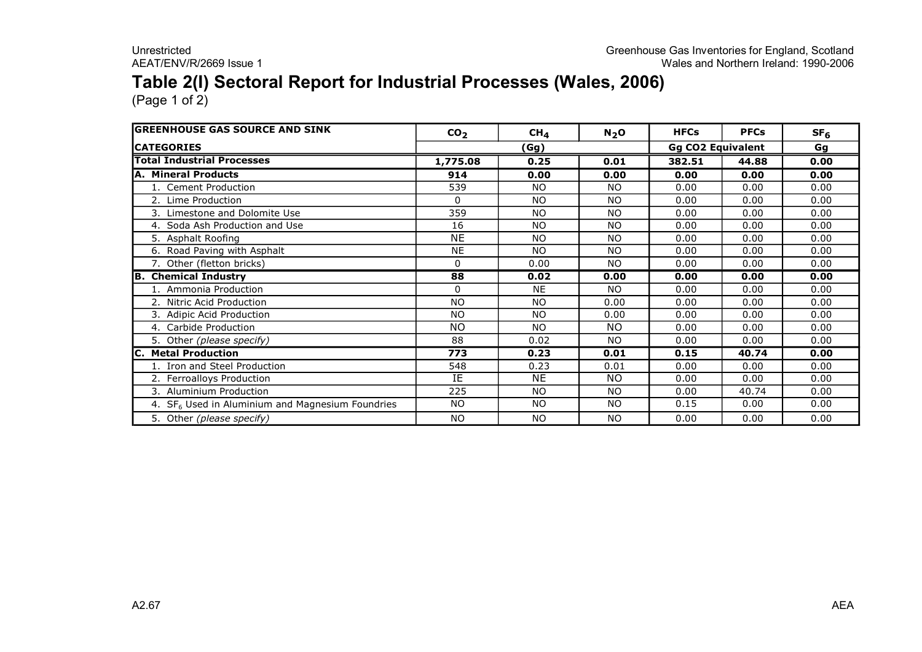### **Table 2(I) Sectoral Report for Industrial Processes (Wales, 2006)**

| <b>GREENHOUSE GAS SOURCE AND SINK</b>              | CO <sub>2</sub> | CH <sub>4</sub> | $N_2$ O   | <b>HFCs</b>              | <b>PFCs</b> | SF <sub>6</sub> |
|----------------------------------------------------|-----------------|-----------------|-----------|--------------------------|-------------|-----------------|
| <b>ICATEGORIES</b>                                 |                 | (Gg)            |           | <b>Gg CO2 Equivalent</b> |             | Gg              |
| <b>Total Industrial Processes</b>                  | 1,775.08        | 0.25            | 0.01      | 382.51                   | 44.88       | 0.00            |
| A. Mineral Products                                | 914             | 0.00            | 0.00      | 0.00                     | 0.00        | 0.00            |
| 1. Cement Production                               | 539             | NO.             | <b>NO</b> | 0.00                     | 0.00        | 0.00            |
| 2. Lime Production                                 | $\Omega$        | NO.             | <b>NO</b> | 0.00                     | 0.00        | 0.00            |
| 3. Limestone and Dolomite Use                      | 359             | <b>NO</b>       | <b>NO</b> | 0.00                     | 0.00        | 0.00            |
| 4. Soda Ash Production and Use                     | 16              | N <sub>O</sub>  | <b>NO</b> | 0.00                     | 0.00        | 0.00            |
| 5. Asphalt Roofing                                 | <b>NE</b>       | N <sub>O</sub>  | <b>NO</b> | 0.00                     | 0.00        | 0.00            |
| 6. Road Paving with Asphalt                        | <b>NE</b>       | N <sub>O</sub>  | <b>NO</b> | 0.00                     | 0.00        | 0.00            |
| 7. Other (fletton bricks)                          | $\Omega$        | 0.00            | <b>NO</b> | 0.00                     | 0.00        | 0.00            |
| <b>B. Chemical Industry</b>                        | 88              | 0.02            | 0.00      | 0.00                     | 0.00        | 0.00            |
| 1. Ammonia Production                              | $\Omega$        | <b>NE</b>       | <b>NO</b> | 0.00                     | 0.00        | 0.00            |
| 2. Nitric Acid Production                          | <b>NO</b>       | <b>NO</b>       | 0.00      | 0.00                     | 0.00        | 0.00            |
| 3. Adipic Acid Production                          | <b>NO</b>       | <b>NO</b>       | 0.00      | 0.00                     | 0.00        | 0.00            |
| 4. Carbide Production                              | <b>NO</b>       | N <sub>O</sub>  | <b>NO</b> | 0.00                     | 0.00        | 0.00            |
| 5. Other (please specify)                          | 88              | 0.02            | <b>NO</b> | 0.00                     | 0.00        | 0.00            |
| <b>IC. Metal Production</b>                        | 773             | 0.23            | 0.01      | 0.15                     | 40.74       | 0.00            |
| 1. Iron and Steel Production                       | 548             | 0.23            | 0.01      | 0.00                     | 0.00        | 0.00            |
| 2. Ferroalloys Production                          | IE              | NE              | <b>NO</b> | 0.00                     | 0.00        | 0.00            |
| 3. Aluminium Production                            | 225             | <b>NO</b>       | <b>NO</b> | 0.00                     | 40.74       | 0.00            |
| 4. $SF6$ Used in Aluminium and Magnesium Foundries | <b>NO</b>       | <b>NO</b>       | <b>NO</b> | 0.15                     | 0.00        | 0.00            |
| 5. Other (please specify)                          | <b>NO</b>       | <b>NO</b>       | <b>NO</b> | 0.00                     | 0.00        | 0.00            |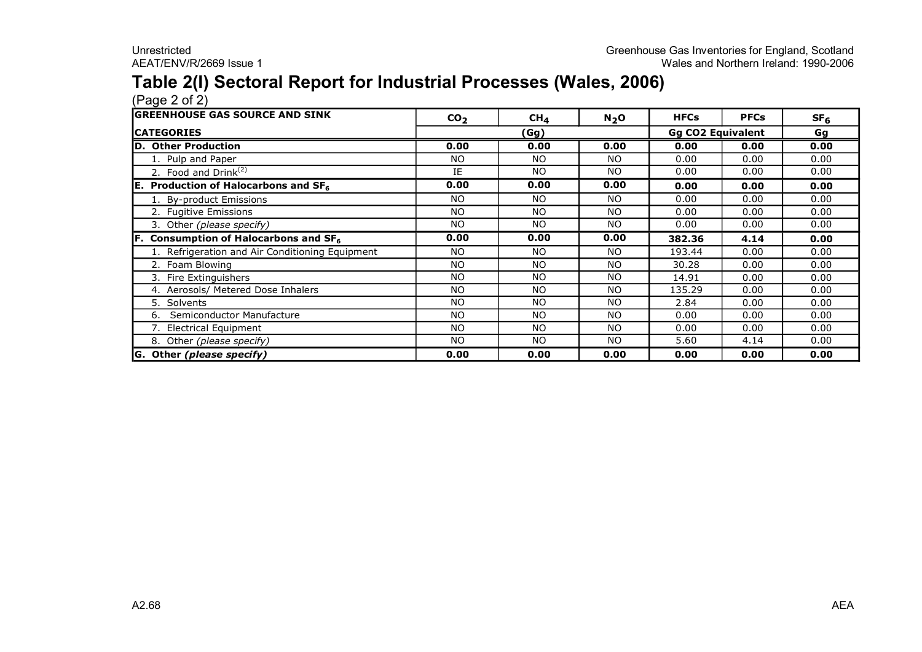### **Table 2(I) Sectoral Report for Industrial Processes (Wales, 2006)**

| <b>IGREENHOUSE GAS SOURCE AND SINK</b>          | CO <sub>2</sub> | CH <sub>4</sub> | $N_2$ O                  | <b>HFCs</b> | <b>PFCs</b> | SF <sub>6</sub> |
|-------------------------------------------------|-----------------|-----------------|--------------------------|-------------|-------------|-----------------|
| <b>ICATEGORIES</b>                              |                 | (Gg)            | <b>Gg CO2 Equivalent</b> |             |             | Gg              |
| <b>ID. Other Production</b>                     | 0.00            | 0.00            | 0.00                     | 0.00        | 0.00        | 0.00            |
| 1. Pulp and Paper                               | NO.             | <b>NO</b>       | <b>NO</b>                | 0.00        | 0.00        | 0.00            |
| 2. Food and Drink $(2)$                         | IE              | <b>NO</b>       | <b>NO</b>                | 0.00        | 0.00        | 0.00            |
| <b>E.</b> Production of Halocarbons and $SF6$   | 0.00            | 0.00            | 0.00                     | 0.00        | 0.00        | 0.00            |
| 1. By-product Emissions                         | <b>NO</b>       | <b>NO</b>       | <b>NO</b>                | 0.00        | 0.00        | 0.00            |
| 2. Fugitive Emissions                           | NO.             | NO.             | NO                       | 0.00        | 0.00        | 0.00            |
| 3. Other (please specify)                       | NO.             | NO.             | NO                       | 0.00        | 0.00        | 0.00            |
| <b>F.</b> Consumption of Halocarbons and $SF6$  | 0.00            | 0.00            | 0.00                     | 382.36      | 4.14        | 0.00            |
| 1. Refrigeration and Air Conditioning Equipment | NO.             | <b>NO</b>       | NO.                      | 193.44      | 0.00        | 0.00            |
| 2. Foam Blowing                                 | <b>NO</b>       | <b>NO</b>       | <b>NO</b>                | 30.28       | 0.00        | 0.00            |
| 3. Fire Extinguishers                           | <b>NO</b>       | <b>NO</b>       | <b>NO</b>                | 14.91       | 0.00        | 0.00            |
| 4. Aerosols/ Metered Dose Inhalers              | <b>NO</b>       | <b>NO</b>       | <b>NO</b>                | 135.29      | 0.00        | 0.00            |
| 5. Solvents                                     | <b>NO</b>       | <b>NO</b>       | <b>NO</b>                | 2.84        | 0.00        | 0.00            |
| Semiconductor Manufacture<br>6.                 | <b>NO</b>       | <b>NO</b>       | <b>NO</b>                | 0.00        | 0.00        | 0.00            |
| 7. Electrical Equipment                         | NO.             | NO              | NO                       | 0.00        | 0.00        | 0.00            |
| 8. Other (please specify)                       | NO.             | NO.             | NO                       | 5.60        | 4.14        | 0.00            |
| G. Other (please specify)                       | 0.00            | 0.00            | 0.00                     | 0.00        | 0.00        | 0.00            |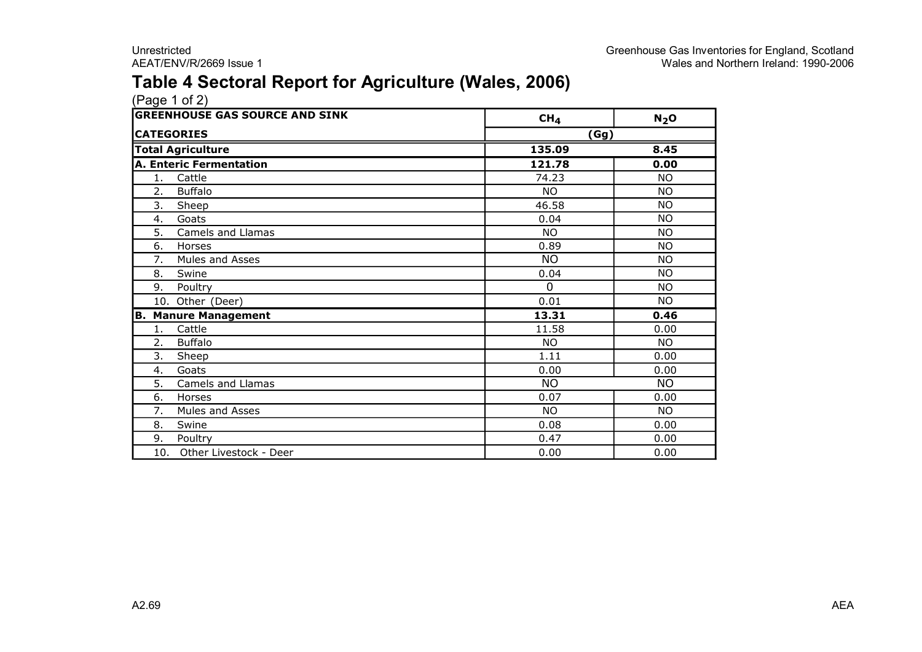### **Table 4 Sectoral Report for Agriculture (Wales, 2006)**

| <b>GREENHOUSE GAS SOURCE AND SINK</b> | CH <sub>4</sub> | $N_2$ O   |
|---------------------------------------|-----------------|-----------|
| <b>CATEGORIES</b>                     | (Gg)            |           |
| <b>Total Agriculture</b>              | 135.09          | 8.45      |
| <b>A. Enteric Fermentation</b>        | 121.78          | 0.00      |
| Cattle<br>1.                          | 74.23           | <b>NO</b> |
| <b>Buffalo</b><br>2.                  | NO.             | <b>NO</b> |
| 3.<br>Sheep                           | 46.58           | <b>NO</b> |
| Goats<br>4.                           | 0.04            | <b>NO</b> |
| 5.<br>Camels and Llamas               | <b>NO</b>       | <b>NO</b> |
| 6.<br>Horses                          | 0.89            | <b>NO</b> |
| 7.<br>Mules and Asses                 | <b>NO</b>       | NO.       |
| 8.<br>Swine                           | 0.04            | <b>NO</b> |
| Poultry<br>9.                         | $\Omega$        | <b>NO</b> |
| 10. Other (Deer)                      | 0.01            | <b>NO</b> |
| <b>Manure Management</b><br>В.        | 13.31           | 0.46      |
| Cattle<br>1.                          | 11.58           | 0.00      |
| <b>Buffalo</b><br>2.                  | NO.             | <b>NO</b> |
| 3.<br>Sheep                           | 1.11            | 0.00      |
| Goats<br>4.                           | 0.00            | 0.00      |
| 5.<br>Camels and Llamas               | <b>NO</b>       | NO.       |
| 6.<br>Horses                          | 0.07            | 0.00      |
| Mules and Asses<br>7.                 | NO.             | <b>NO</b> |
| 8.<br>Swine                           | 0.08            | 0.00      |
| 9.<br>Poultry                         | 0.47            | 0.00      |
| 10. Other Livestock - Deer            | 0.00            | 0.00      |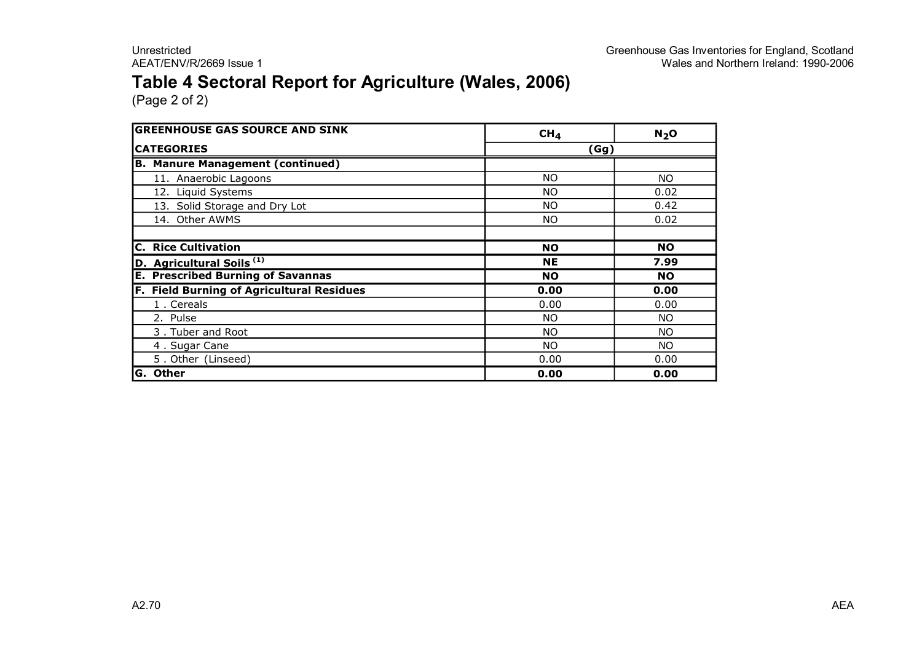### **Table 4 Sectoral Report for Agriculture (Wales, 2006)**

| <b>GREENHOUSE GAS SOURCE AND SINK</b>            | CH <sub>4</sub> | N <sub>2</sub> O |
|--------------------------------------------------|-----------------|------------------|
| <b>CATEGORIES</b>                                | (Gg)            |                  |
| <b>B. Manure Management (continued)</b>          |                 |                  |
| 11. Anaerobic Lagoons                            | NO.             | NO.              |
| 12. Liquid Systems                               | <b>NO</b>       | 0.02             |
| 13. Solid Storage and Dry Lot                    | NO.             | 0.42             |
| 14. Other AWMS                                   | NO.             | 0.02             |
|                                                  |                 |                  |
| <b>Rice Cultivation</b><br>C.                    | <b>NO</b>       | <b>NO</b>        |
| D. Agricultural Soils <sup>(1)</sup>             | <b>NE</b>       | 7.99             |
| <b>E. Prescribed Burning of Savannas</b>         | <b>NO</b>       | <b>NO</b>        |
| <b>F. Field Burning of Agricultural Residues</b> | 0.00            | 0.00             |
| 1. Cereals                                       | 0.00            | 0.00             |
| 2. Pulse                                         | NO.             | NO.              |
| 3. Tuber and Root                                | NO.             | NO.              |
| 4. Sugar Cane                                    | NO.             | NO.              |
| 5. Other (Linseed)                               | 0.00            | 0.00             |
| G. Other                                         | 0.00            | 0.00             |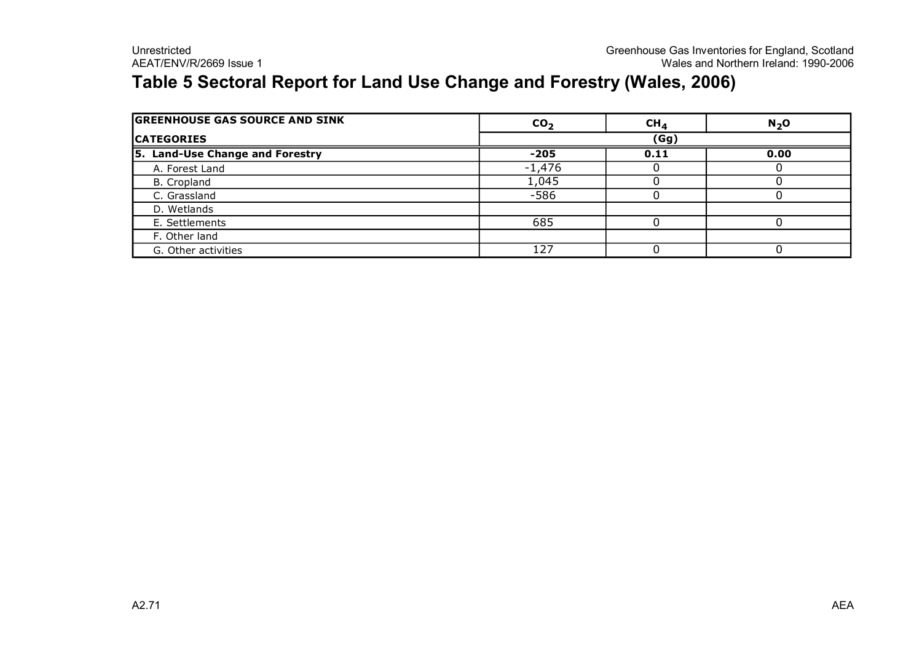### **Table 5 Sectoral Report for Land Use Change and Forestry (Wales, 2006)**

| <b>GREENHOUSE GAS SOURCE AND SINK</b> | CO <sub>2</sub> | CH <sub>4</sub> | N <sub>2</sub> O |  |  |
|---------------------------------------|-----------------|-----------------|------------------|--|--|
| <b>CATEGORIES</b>                     | (Gg)            |                 |                  |  |  |
| 5. Land-Use Change and Forestry       | $-205$          | 0.11            | 0.00             |  |  |
| A. Forest Land                        | $-1,476$        |                 |                  |  |  |
| B. Cropland                           | 1,045           |                 |                  |  |  |
| C. Grassland                          | $-586$          |                 |                  |  |  |
| D. Wetlands                           |                 |                 |                  |  |  |
| E. Settlements                        | 685             |                 |                  |  |  |
| F. Other land                         |                 |                 |                  |  |  |
| G. Other activities                   | 127             |                 |                  |  |  |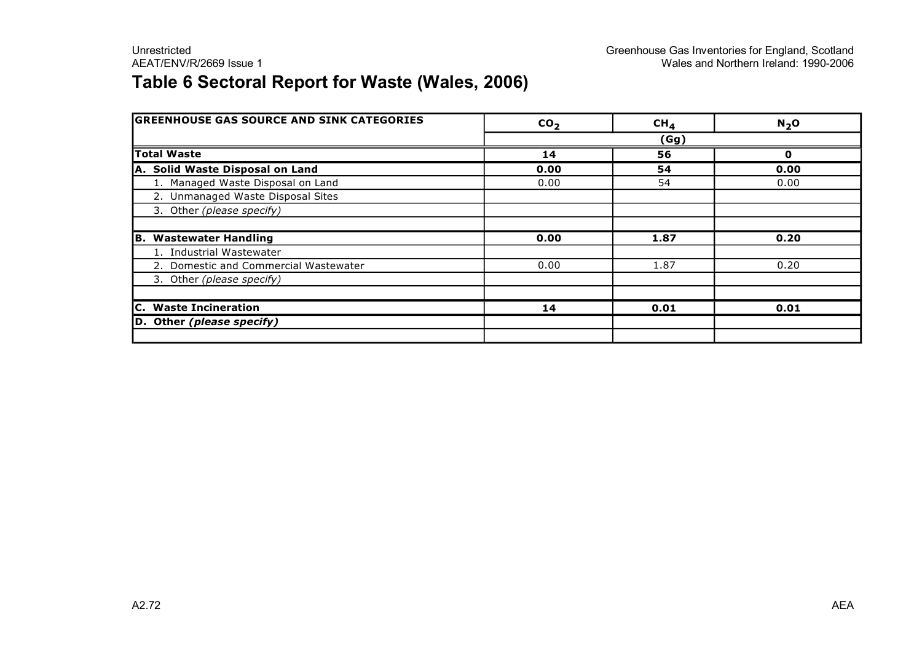## **Table 6 Sectoral Report for Waste (Wales, 2006)**

| <b>GREENHOUSE GAS SOURCE AND SINK CATEGORIES</b> | CO <sub>2</sub> | CH <sub>4</sub> | N <sub>2</sub> O |  |  |
|--------------------------------------------------|-----------------|-----------------|------------------|--|--|
|                                                  | (Gg)            |                 |                  |  |  |
| <b>Total Waste</b>                               | 14              | 56              |                  |  |  |
| A. Solid Waste Disposal on Land                  | 0.00            | 54              | 0.00             |  |  |
| 1. Managed Waste Disposal on Land                | 0.00            | 54              | 0.00             |  |  |
| 2. Unmanaged Waste Disposal Sites                |                 |                 |                  |  |  |
| 3. Other (please specify)                        |                 |                 |                  |  |  |
|                                                  |                 |                 |                  |  |  |
| B. Wastewater Handling                           | 0.00            | 1.87            | 0.20             |  |  |
| 1. Industrial Wastewater                         |                 |                 |                  |  |  |
| 2. Domestic and Commercial Wastewater            | 0.00            | 1.87            | 0.20             |  |  |
| 3. Other (please specify)                        |                 |                 |                  |  |  |
|                                                  |                 |                 |                  |  |  |
| C. Waste Incineration                            | 14              | 0.01            | 0.01             |  |  |
| D. Other (please specify)                        |                 |                 |                  |  |  |
|                                                  |                 |                 |                  |  |  |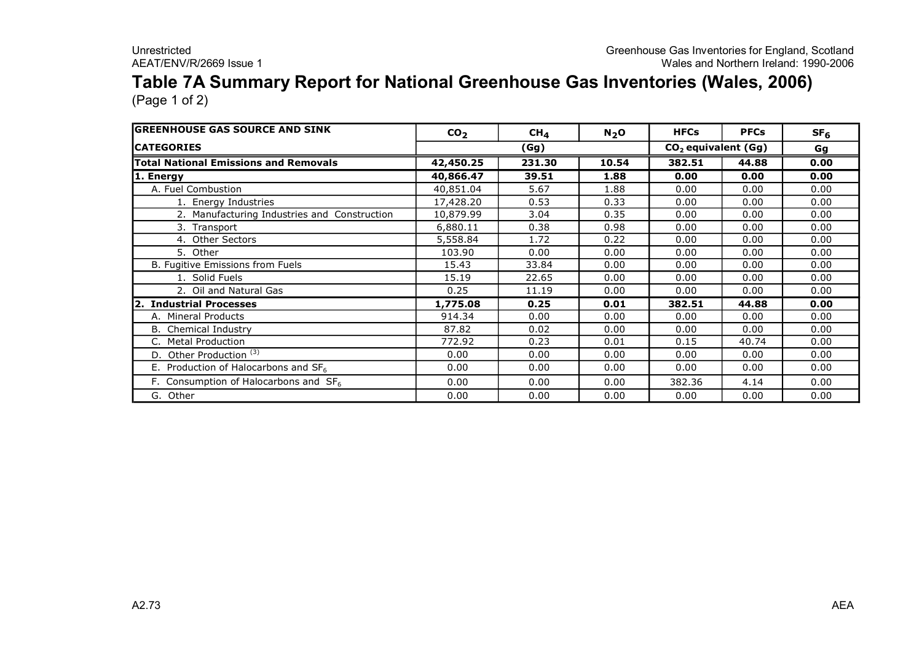# **Table 7A Summary Report for National Greenhouse Gas Inventories (Wales, 2006)**

| <b>GREENHOUSE GAS SOURCE AND SINK</b>        | CO <sub>2</sub> | CH <sub>4</sub> | $N_2$ O | <b>HFCs</b>                     | <b>PFCs</b> | SF <sub>6</sub> |
|----------------------------------------------|-----------------|-----------------|---------|---------------------------------|-------------|-----------------|
| <b>ICATEGORIES</b>                           |                 | (Gg)            |         | CO <sub>2</sub> equivalent (Gg) |             | Gg              |
| <b>Total National Emissions and Removals</b> | 42,450.25       | 231.30          | 10.54   | 382.51                          | 44.88       | 0.00            |
| 1. Energy                                    | 40,866.47       | 39.51           | 1.88    | 0.00                            | 0.00        | 0.00            |
| A. Fuel Combustion                           | 40,851.04       | 5.67            | 1.88    | 0.00                            | 0.00        | 0.00            |
| 1. Energy Industries                         | 17,428.20       | 0.53            | 0.33    | 0.00                            | 0.00        | 0.00            |
| 2. Manufacturing Industries and Construction | 10,879.99       | 3.04            | 0.35    | 0.00                            | 0.00        | 0.00            |
| 3. Transport                                 | 6,880.11        | 0.38            | 0.98    | 0.00                            | 0.00        | 0.00            |
| 4. Other Sectors                             | 5,558.84        | 1.72            | 0.22    | 0.00                            | 0.00        | 0.00            |
| 5. Other                                     | 103.90          | 0.00            | 0.00    | 0.00                            | 0.00        | 0.00            |
| B. Fugitive Emissions from Fuels             | 15.43           | 33.84           | 0.00    | 0.00                            | 0.00        | 0.00            |
| 1. Solid Fuels                               | 15.19           | 22.65           | 0.00    | 0.00                            | 0.00        | 0.00            |
| 2. Oil and Natural Gas                       | 0.25            | 11.19           | 0.00    | 0.00                            | 0.00        | 0.00            |
| 2. Industrial Processes                      | 1,775.08        | 0.25            | 0.01    | 382.51                          | 44.88       | 0.00            |
| A. Mineral Products                          | 914.34          | 0.00            | 0.00    | 0.00                            | 0.00        | 0.00            |
| <b>B.</b> Chemical Industry                  | 87.82           | 0.02            | 0.00    | 0.00                            | 0.00        | 0.00            |
| <b>Metal Production</b>                      | 772.92          | 0.23            | 0.01    | 0.15                            | 40.74       | 0.00            |
| Other Production <sup>(3)</sup><br>D.        | 0.00            | 0.00            | 0.00    | 0.00                            | 0.00        | 0.00            |
| E. Production of Halocarbons and $SF6$       | 0.00            | 0.00            | 0.00    | 0.00                            | 0.00        | 0.00            |
| F. Consumption of Halocarbons and $SF6$      | 0.00            | 0.00            | 0.00    | 382.36                          | 4.14        | 0.00            |
| G. Other                                     | 0.00            | 0.00            | 0.00    | 0.00                            | 0.00        | 0.00            |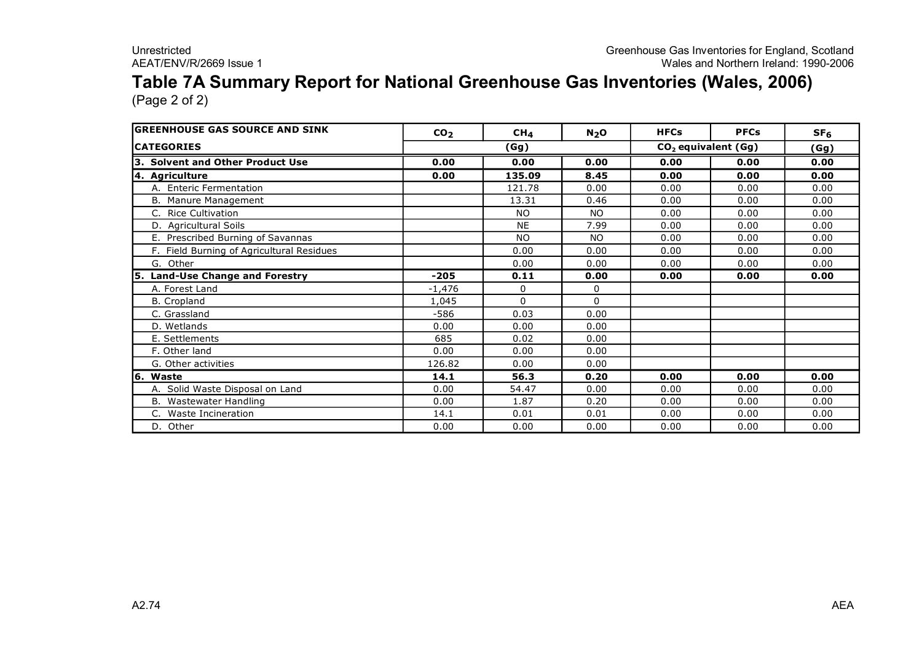#### **Table 7A Summary Report for National Greenhouse Gas Inventories (Wales, 2006)** (Page 2 of 2)

**GREENHOUSE GAS SOURCE AND SINK**  $CO_2$  $CH_4$  $N_2O$  $HFCs$  **PFCs**  $SF_6$ **CATEGORIES (Gg) (Gg) CO <sup>2</sup> equivalent (Gg) 3. Solvent and Other Product Use 0.00 0.00 0.00 0.00 0.00 0.00 4. Agriculture 0.00 135.09 8.45 0.00 0.00 0.00** A. Enteric Fermentation 121.78 0.00 0.00 0.00 0.00 0.00 B. Manure Management 13.31 | 0.46 | 0.00 | 0.00 | 0.00 | 0.00 C. Rice Cultivation NO NO 0.00 0.00 0.00 D. Agricultural Soils 7.99 0.00 0.00 0.00 E. Prescribed Burning of Savannas North Contract North North North North North North 0.00 0.00 0.00 F. Field Burning of Agricultural Residues **1** 0.00 0.00 0.00 0.00 0.00 0.00 0.00 G. Other 0.00 0.00 0.00 0.00 0.00 **5. LandUse Change and Forestry 205 0.11 0.00 0.00 0.00 0.00** A. Forest Land 1,476 0 0 B. Cropland 1,045 0 0  $C.$  Grassland  $C.$  Grassland  $C.$  Grassland  $C.$  Grassland  $C.$ D. Wetlands 0.00 0.00 0.00 E. Settlements 685 0.02 0.00 F. Other land 6.00 0.00 0.00 0.00 0.00 0.00 G. Other activities **126.82** 0.00 0.00 **6. Waste 14.1 56.3 0.20 0.00 0.00 0.00** A. Solid Waste Disposal on Land **by Land Concept 1, Concept 1, Concept 1, Concept 1, Concept 1, Concept 1, Concept 1, Concept 1, Concept 1, Concept 1, Concept 1, Concept 1, Concept 1, Concept 1, Concept 1, Concept 1, Conce** B. Wastewater Handling 0.00 1.87 0.20 0.00 0.00 0.00 C. Waste Incineration 14.1 | 14.1 | 0.01 | 0.01 | 0.00 | 0.00 | 0.00

D. Other 0.00 0.00 0.00 0.00 0.00 0.00